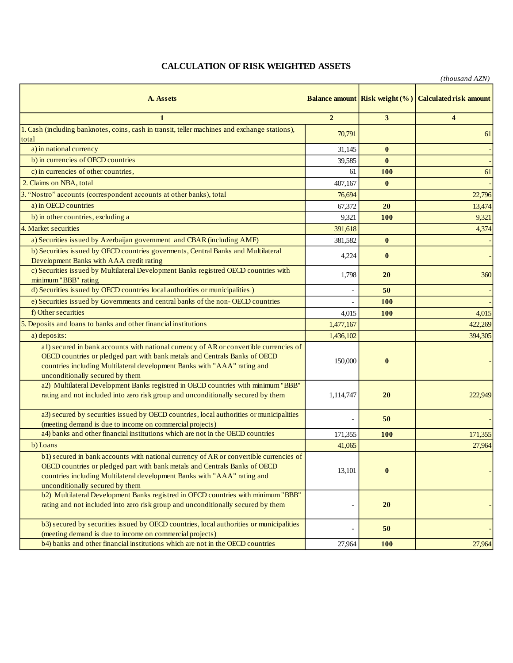## **CALCULATION OF RISK WEIGHTED ASSETS**

|                                                                                                                                                                                                                                                                                     |                |                                       | $\mu$ uvusunu $\pi$ $\mu$ i   |
|-------------------------------------------------------------------------------------------------------------------------------------------------------------------------------------------------------------------------------------------------------------------------------------|----------------|---------------------------------------|-------------------------------|
| A. Assets                                                                                                                                                                                                                                                                           |                | <b>Balance amount Risk weight (%)</b> | <b>Calculated risk amount</b> |
| $\mathbf{1}$                                                                                                                                                                                                                                                                        | $\overline{2}$ | 3                                     | $\overline{\mathbf{4}}$       |
| 1. Cash (including banknotes, coins, cash in transit, teller machines and exchange stations),<br>total                                                                                                                                                                              | 70,791         |                                       | 61                            |
| a) in national currency                                                                                                                                                                                                                                                             | 31,145         | $\bf{0}$                              |                               |
| b) in currencies of OECD countries                                                                                                                                                                                                                                                  | 39,585         | $\bf{0}$                              |                               |
| c) in currencies of other countries.                                                                                                                                                                                                                                                | 61             | <b>100</b>                            | 61                            |
| 2. Claims on NBA, total                                                                                                                                                                                                                                                             | 407,167        | $\bf{0}$                              |                               |
| 3. "Nostro" accounts (correspondent accounts at other banks), total                                                                                                                                                                                                                 | 76,694         |                                       | 22,796                        |
| a) in OECD countries                                                                                                                                                                                                                                                                | 67,372         | 20                                    | 13,474                        |
| b) in other countries, excluding a                                                                                                                                                                                                                                                  | 9,321          | <b>100</b>                            | 9,321                         |
| 4. Market securities                                                                                                                                                                                                                                                                | 391,618        |                                       | 4,374                         |
| a) Securities issued by Azerbaijan government and CBAR (including AMF)                                                                                                                                                                                                              | 381,582        | $\bf{0}$                              |                               |
| b) Securities issued by OECD countries governents, Central Banks and Multilateral                                                                                                                                                                                                   | 4,224          | $\bf{0}$                              |                               |
| Development Banks with AAA credit rating<br>c) Securities issued by Multilateral Development Banks registred OECD countries with                                                                                                                                                    |                |                                       |                               |
| minimum "BBB" rating                                                                                                                                                                                                                                                                | 1,798          | 20                                    | 360                           |
| d) Securities issued by OECD countries local authorities or municipalities )                                                                                                                                                                                                        |                | 50                                    |                               |
| e) Securities issued by Governments and central banks of the non-OECD countries                                                                                                                                                                                                     |                | <b>100</b>                            |                               |
| f) Other securities                                                                                                                                                                                                                                                                 | 4,015          | <b>100</b>                            | 4,015                         |
| 5. Deposits and loans to banks and other financial institutions                                                                                                                                                                                                                     | 1,477,167      |                                       | 422,269                       |
| a) deposits:                                                                                                                                                                                                                                                                        | 1,436,102      |                                       | 394,305                       |
| a1) secured in bank accounts with national currency of AR or convertible currencies of<br>OECD countries or pledged part with bank metals and Centrals Banks of OECD<br>countries including Multilateral development Banks with "AAA" rating and<br>unconditionally secured by them | 150,000        | $\bf{0}$                              |                               |
| a2) Multilateral Development Banks registred in OECD countries with minimum "BBB"<br>rating and not included into zero risk group and unconditionally secured by them                                                                                                               | 1,114,747      | 20                                    | 222,949                       |
| a3) secured by securities issued by OECD countries, local authorities or municipalities<br>(meeting demand is due to income on commercial projects)                                                                                                                                 |                | 50                                    |                               |
| a4) banks and other financial institutions which are not in the OECD countries                                                                                                                                                                                                      | 171,355        | <b>100</b>                            | 171,355                       |
| b) Loans                                                                                                                                                                                                                                                                            | 41,065         |                                       | 27,964                        |
| b1) secured in bank accounts with national currency of AR or convertible currencies of<br>OECD countries or pledged part with bank metals and Centrals Banks of OECD<br>countries including Multilateral development Banks with "AAA" rating and<br>unconditionally secured by them | 13,101         | $\bf{0}$                              |                               |
| b2) Multilateral Development Banks registred in OECD countries with minimum "BBB"<br>rating and not included into zero risk group and unconditionally secured by them                                                                                                               |                | 20                                    |                               |
| b3) secured by securities issued by OECD countries, local authorities or municipalities<br>(meeting demand is due to income on commercial projects)                                                                                                                                 |                | 50                                    |                               |
| b4) banks and other financial institutions which are not in the OECD countries                                                                                                                                                                                                      | 27,964         | <b>100</b>                            | 27,964                        |

*(thousand AZN)*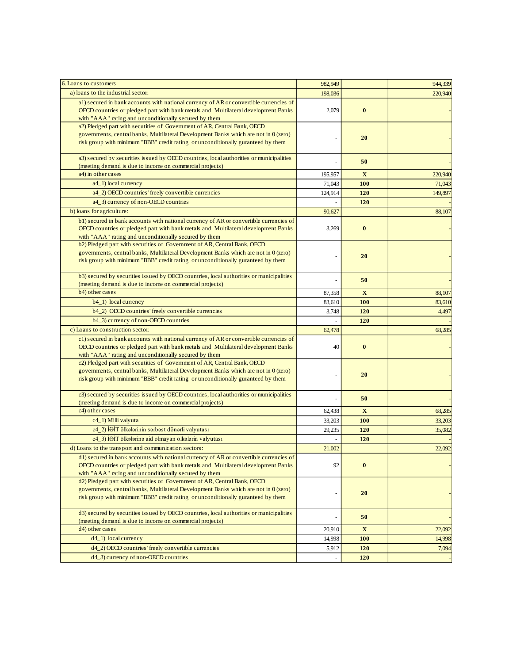| 6. Loans to customers                                                                                                                                                                                                                                | 982,949 |              | 944,339 |
|------------------------------------------------------------------------------------------------------------------------------------------------------------------------------------------------------------------------------------------------------|---------|--------------|---------|
| a) loans to the industrial sector:                                                                                                                                                                                                                   | 198,036 |              | 220,940 |
| al) secured in bank accounts with national currency of AR or convertible currencies of<br>OECD countries or pledged part with bank metals and Multilateral development Banks<br>with "AAA" rating and unconditionally secured by them                | 2,079   | $\bf{0}$     |         |
| a2) Pledged part with secutities of Government of AR, Central Bank, OECD<br>governments, central banks, Multilateral Development Banks which are not in 0 (zero)<br>risk group with minimum "BBB" credit rating or unconditionally guranteed by them |         | 20           |         |
| a3) secured by securities issued by OECD countries, local authorities or municipalities<br>(meeting demand is due to income on commercial projects)                                                                                                  |         | 50           |         |
| a4) in other cases                                                                                                                                                                                                                                   | 195,957 | $\mathbf{X}$ | 220,940 |
| a4_1) local currency                                                                                                                                                                                                                                 | 71,043  | 100          | 71,043  |
| a4_2) OECD countries' freely convertible currencies                                                                                                                                                                                                  | 124,914 | 120          | 149,897 |
| a4_3) currency of non-OECD countries                                                                                                                                                                                                                 |         | 120          |         |
| b) loans for agriculture:                                                                                                                                                                                                                            | 90,627  |              | 88,107  |
| b1) secured in bank accounts with national currency of AR or convertible currencies of<br>OECD countries or pledged part with bank metals and Multilateral development Banks<br>with "AAA" rating and unconditionally secured by them                | 3,269   | $\bf{0}$     |         |
| b2) Pledged part with secutities of Government of AR, Central Bank, OECD<br>governments, central banks, Multilateral Development Banks which are not in 0 (zero)<br>risk group with minimum "BBB" credit rating or unconditionally guranteed by them |         | 20           |         |
| b3) secured by securities issued by OECD countries, local authorities or municipalities<br>(meeting demand is due to income on commercial projects)                                                                                                  |         | 50           |         |
| b4) other cases                                                                                                                                                                                                                                      | 87,358  | $\mathbf{X}$ | 88,107  |
| b4_1) local currency                                                                                                                                                                                                                                 | 83,610  | 100          | 83,610  |
| b4_2) OECD countries' freely convertible currencies                                                                                                                                                                                                  | 3,748   | 120          | 4,497   |
| b4_3) currency of non-OECD countries                                                                                                                                                                                                                 | ÷,      | 120          |         |
| c) Loans to construction sector:                                                                                                                                                                                                                     | 62,478  |              | 68,285  |
| c1) secured in bank accounts with national currency of AR or convertible currencies of<br>OECD countries or pledged part with bank metals and Multilateral development Banks<br>with "AAA" rating and unconditionally secured by them                | 40      | $\bf{0}$     |         |
| c2) Pledged part with secutities of Government of AR, Central Bank, OECD<br>governments, central banks, Multilateral Development Banks which are not in 0 (zero)<br>risk group with minimum "BBB" credit rating or unconditionally guranteed by them |         | 20           |         |
| c3) secured by securities issued by OECD countries, local authorities or municipalities<br>(meeting demand is due to income on commercial projects)                                                                                                  |         | 50           |         |
| c4) other cases                                                                                                                                                                                                                                      | 62,438  | X            | 68,285  |
| c4_1) Milli valyuta                                                                                                                                                                                                                                  | 33,203  | <b>100</b>   | 33,203  |
| c4 2) İƏİT ölkələrinin sərbəst dönərli valyutası                                                                                                                                                                                                     | 29,235  | 120          | 35,082  |
| c4 3) İƏİT ölkələrinə aid olmayan ölkələrin valyutası                                                                                                                                                                                                |         | 120          |         |
| d) Loans to the transport and communication sectors:                                                                                                                                                                                                 | 21,002  |              | 22,092  |
| d1) secured in bank accounts with national currency of AR or convertible currencies of<br>OECD countries or pledged part with bank metals and Multilateral development Banks<br>with "AAA" rating and unconditionally secured by them                | 92      | $\bf{0}$     |         |
| d2) Pledged part with secutities of Government of AR, Central Bank, OECD<br>governments, central banks, Multilateral Development Banks which are not in 0 (zero)<br>risk group with minimum "BBB" credit rating or unconditionally guranteed by them |         | 20           |         |
| d3) secured by securities issued by OECD countries, local authorities or municipalities                                                                                                                                                              |         | 50           |         |
| (meeting demand is due to income on commercial projects)                                                                                                                                                                                             |         |              |         |
| d4) other cases                                                                                                                                                                                                                                      | 20,910  | $\mathbf X$  | 22,092  |
| $d4_1)$ local currency                                                                                                                                                                                                                               | 14,998  | 100          | 14,998  |
| d4_2) OECD countries' freely convertible currencies                                                                                                                                                                                                  | 5,912   | 120          | 7,094   |
| d4_3) currency of non-OECD countries                                                                                                                                                                                                                 |         | 120          |         |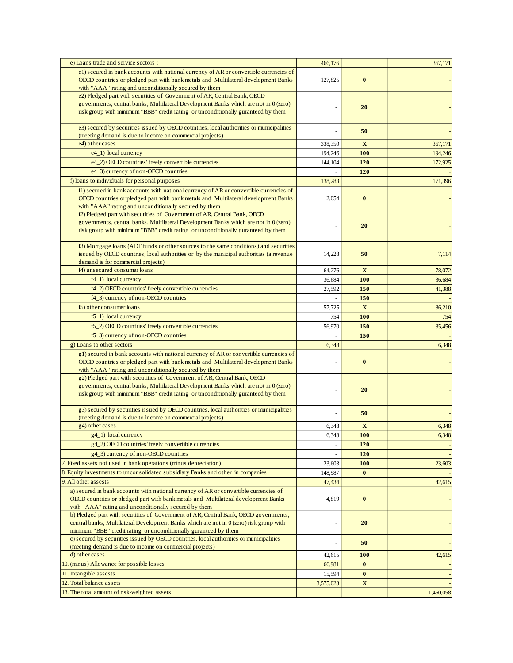| e) Loans trade and service sectors :                                                                                                                             | 466,176          |                        | 367,171   |
|------------------------------------------------------------------------------------------------------------------------------------------------------------------|------------------|------------------------|-----------|
| e1) secured in bank accounts with national currency of AR or convertible currencies of                                                                           |                  |                        |           |
| OECD countries or pledged part with bank metals and Multilateral development Banks                                                                               | 127,825          | $\bf{0}$               |           |
| with "AAA" rating and unconditionally secured by them<br>e2) Pledged part with secutities of Government of AR, Central Bank, OECD                                |                  |                        |           |
| governments, central banks, Multilateral Development Banks which are not in 0 (zero)                                                                             |                  |                        |           |
| risk group with minimum "BBB" credit rating or unconditionally guranteed by them                                                                                 |                  | 20                     |           |
|                                                                                                                                                                  |                  |                        |           |
| e3) secured by securities issued by OECD countries, local authorities or municipalities<br>(meeting demand is due to income on commercial projects)              |                  | 50                     |           |
| e4) other cases                                                                                                                                                  | 338,350          | $\mathbf X$            | 367,171   |
| e4_1) local currency                                                                                                                                             | 194,246          | <b>100</b>             | 194,246   |
| e4_2) OECD countries' freely convertible currencies                                                                                                              | 144.104          | 120                    | 172,925   |
| e4_3) currency of non-OECD countries                                                                                                                             |                  | 120                    |           |
| f) loans to individuals for personal purposes                                                                                                                    | 138,283          |                        | 171,396   |
| f1) secured in bank accounts with national currency of AR or convertible currencies of                                                                           |                  |                        |           |
| OECD countries or pledged part with bank metals and Multilateral development Banks                                                                               | 2,054            | $\bf{0}$               |           |
| with "AAA" rating and unconditionally secured by them                                                                                                            |                  |                        |           |
| f2) Pledged part with secutities of Government of AR, Central Bank, OECD<br>governments, central banks, Multilateral Development Banks which are not in 0 (zero) |                  |                        |           |
| risk group with minimum "BBB" credit rating or unconditionally guranteed by them                                                                                 |                  | 20                     |           |
|                                                                                                                                                                  |                  |                        |           |
| f3) Mortgage loans (ADF funds or other sources to the same conditions) and securities                                                                            |                  |                        |           |
| issued by OECD countries, local authorities or by the municipal authorities (a revenue<br>demand is for commercial projects)                                     | 14,228           | 50                     | 7,114     |
| f4) unsecured consumer loans                                                                                                                                     | 64,276           | $\mathbf{X}$           | 78,072    |
| $f4_1)$ local currency                                                                                                                                           | 36,684           | <b>100</b>             | 36,684    |
| f4_2) OECD countries' freely convertible currencies                                                                                                              | 27,592           | 150                    | 41,388    |
| f4_3) currency of non-OECD countries                                                                                                                             |                  | 150                    |           |
| f5) other consumer loans                                                                                                                                         | 57,725           | $\mathbf X$            | 86,210    |
| $f5_1$ ) local currency                                                                                                                                          | 754              | 100                    | 754       |
| f5_2) OECD countries' freely convertible currencies                                                                                                              | 56,970           | 150                    | 85,456    |
| f5_3) currency of non-OECD countries                                                                                                                             |                  | 150                    |           |
| g) Loans to other sectors                                                                                                                                        | 6,348            |                        | 6,348     |
| g1) secured in bank accounts with national currency of AR or convertible currencies of                                                                           |                  |                        |           |
| OECD countries or pledged part with bank metals and Multilateral development Banks                                                                               |                  | $\bf{0}$               |           |
| with "AAA" rating and unconditionally secured by them<br>g2) Pledged part with secutities of Government of AR, Central Bank, OECD                                |                  |                        |           |
| governments, central banks, Multilateral Development Banks which are not in 0 (zero)                                                                             |                  |                        |           |
| risk group with minimum "BBB" credit rating or unconditionally guranteed by them                                                                                 |                  | 20                     |           |
|                                                                                                                                                                  |                  |                        |           |
| g3) secured by securities issued by OECD countries, local authorities or municipalities<br>(meeting demand is due to income on commercial projects)              |                  | 50                     |           |
| g4) other cases                                                                                                                                                  | 6,348            | $\mathbf{X}$           | 6,348     |
| g4_1) local currency                                                                                                                                             | 6,348            | <b>100</b>             | 6,348     |
| g4_2) OECD countries' freely convertible currencies                                                                                                              |                  | 120                    |           |
| g4_3) currency of non-OECD countries                                                                                                                             |                  | 120                    |           |
| 7. Fixed assets not used in bank operations (minus depreciation)                                                                                                 | 23,603           | <b>100</b>             | 23,603    |
| 8. Equity investments to unconsolidated subsidiary Banks and other in companies                                                                                  | 148,987          | $\bf{0}$               |           |
| 9. All other assests                                                                                                                                             | 47,434           |                        | 42,615    |
| a) secured in bank accounts with national currency of AR or convertible currencies of                                                                            |                  |                        |           |
| OECD countries or pledged part with bank metals and Multilateral development Banks                                                                               | 4,819            | $\bf{0}$               |           |
| with "AAA" rating and unconditionally secured by them<br>b) Pledged part with secutities of Government of AR, Central Bank, OECD governments,                    |                  |                        |           |
| central banks, Multilateral Development Banks which are not in 0 (zero) risk group with                                                                          | ÷,               | 20                     |           |
| minimum "BBB" credit rating or unconditionally guranteed by them                                                                                                 |                  |                        |           |
| c) secured by securities issued by OECD countries, local authorities or municipalities                                                                           |                  | 50                     |           |
| (meeting demand is due to income on commercial projects)                                                                                                         |                  |                        |           |
| d) other cases<br>10. (minus) Allowance for possible losses                                                                                                      | 42,615           | <b>100</b><br>$\bf{0}$ | 42,615    |
| 11. Intangible assests                                                                                                                                           | 66,981<br>15,594 | $\bf{0}$               |           |
| 12. Total balance assets                                                                                                                                         | 3,575,023        | X                      |           |
| 13. The total amount of risk-weighted assets                                                                                                                     |                  |                        | 1,460,058 |
|                                                                                                                                                                  |                  |                        |           |